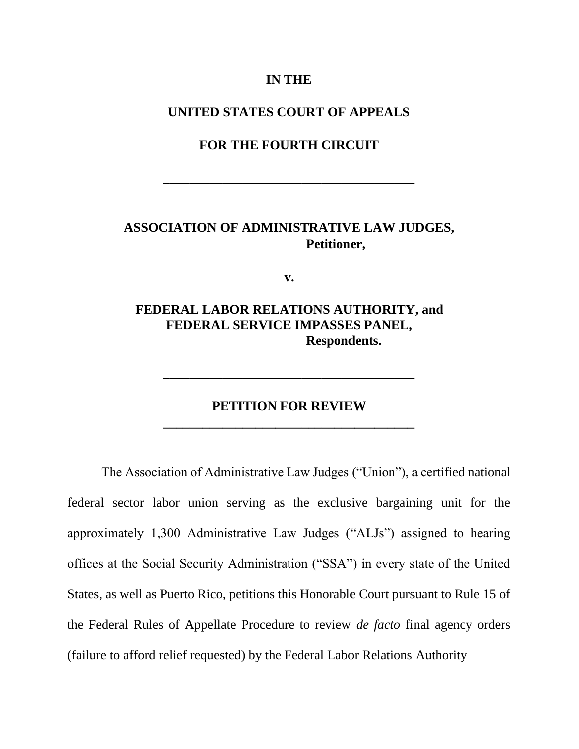## **IN THE**

## **UNITED STATES COURT OF APPEALS**

## **FOR THE FOURTH CIRCUIT**

**\_\_\_\_\_\_\_\_\_\_\_\_\_\_\_\_\_\_\_\_\_\_\_\_\_\_\_\_\_\_\_\_\_\_\_\_\_\_** 

# **ASSOCIATION OF ADMINISTRATIVE LAW JUDGES, Petitioner,**

**v.** 

**FEDERAL LABOR RELATIONS AUTHORITY, and FEDERAL SERVICE IMPASSES PANEL, Respondents.** 

# **PETITION FOR REVIEW \_\_\_\_\_\_\_\_\_\_\_\_\_\_\_\_\_\_\_\_\_\_\_\_\_\_\_\_\_\_\_\_\_\_\_\_\_\_**

**\_\_\_\_\_\_\_\_\_\_\_\_\_\_\_\_\_\_\_\_\_\_\_\_\_\_\_\_\_\_\_\_\_\_\_\_\_\_** 

The Association of Administrative Law Judges ("Union"), a certified national federal sector labor union serving as the exclusive bargaining unit for the approximately 1,300 Administrative Law Judges ("ALJs") assigned to hearing offices at the Social Security Administration ("SSA") in every state of the United States, as well as Puerto Rico, petitions this Honorable Court pursuant to Rule 15 of the Federal Rules of Appellate Procedure to review *de facto* final agency orders (failure to afford relief requested) by the Federal Labor Relations Authority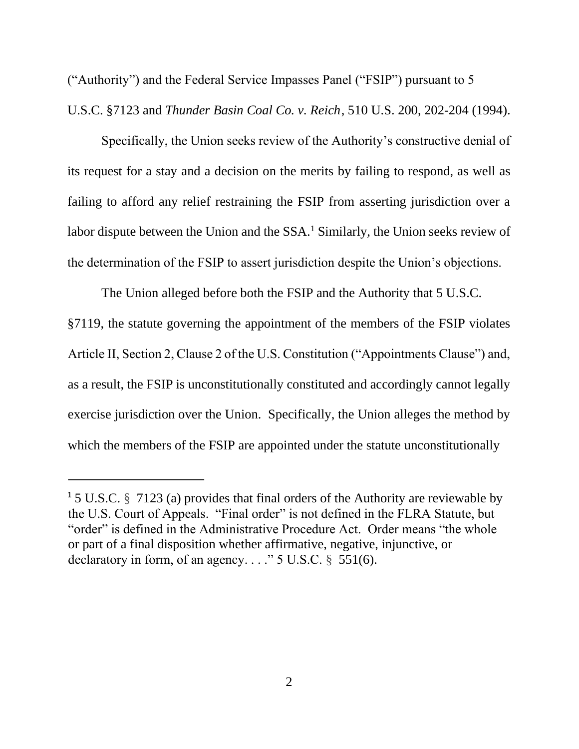("Authority") and the Federal Service Impasses Panel ("FSIP") pursuant to 5 U.S.C. §7123 and *Thunder Basin Coal Co. v. Reich*, 510 U.S. 200, 202-204 (1994).

Specifically, the Union seeks review of the Authority's constructive denial of its request for a stay and a decision on the merits by failing to respond, as well as failing to afford any relief restraining the FSIP from asserting jurisdiction over a labor dispute between the Union and the SSA.<sup>1</sup> Similarly, the Union seeks review of the determination of the FSIP to assert jurisdiction despite the Union's objections.

The Union alleged before both the FSIP and the Authority that 5 U.S.C. §7119, the statute governing the appointment of the members of the FSIP violates Article II, Section 2, Clause 2 of the U.S. Constitution ("Appointments Clause") and, as a result, the FSIP is unconstitutionally constituted and accordingly cannot legally exercise jurisdiction over the Union. Specifically, the Union alleges the method by which the members of the FSIP are appointed under the statute unconstitutionally

<sup>&</sup>lt;sup>1</sup> 5 U.S.C. § 7123 (a) provides that final orders of the Authority are reviewable by the U.S. Court of Appeals. "Final order" is not defined in the FLRA Statute, but "order" is defined in the Administrative Procedure Act. Order means "the whole or part of a final disposition whether affirmative, negative, injunctive, or declaratory in form, of an agency.  $\ldots$  " 5 U.S.C. § 551(6).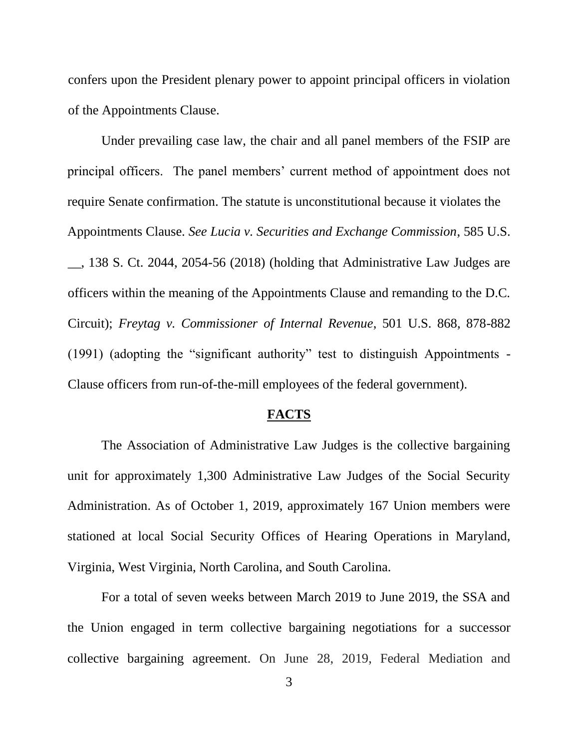confers upon the President plenary power to appoint principal officers in violation of the Appointments Clause.

Under prevailing case law, the chair and all panel members of the FSIP are principal officers. The panel members' current method of appointment does not require Senate confirmation. The statute is unconstitutional because it violates the Appointments Clause. *See Lucia v. Securities and Exchange Commission*, 585 U.S. \_\_, 138 S. Ct. 2044, 2054-56 (2018) (holding that Administrative Law Judges are officers within the meaning of the Appointments Clause and remanding to the D.C. Circuit); *Freytag v. Commissioner of Internal Revenue*, 501 U.S. 868, 878-882 (1991) (adopting the "significant authority" test to distinguish Appointments - Clause officers from run-of-the-mill employees of the federal government).

## **FACTS**

The Association of Administrative Law Judges is the collective bargaining unit for approximately 1,300 Administrative Law Judges of the Social Security Administration. As of October 1, 2019, approximately 167 Union members were stationed at local Social Security Offices of Hearing Operations in Maryland, Virginia, West Virginia, North Carolina, and South Carolina.

For a total of seven weeks between March 2019 to June 2019, the SSA and the Union engaged in term collective bargaining negotiations for a successor collective bargaining agreement. On June 28, 2019, Federal Mediation and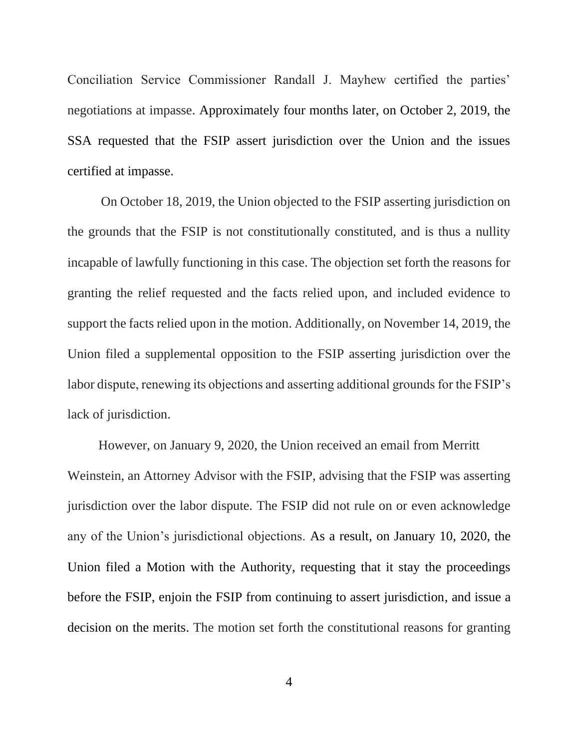Conciliation Service Commissioner Randall J. Mayhew certified the parties' negotiations at impasse. Approximately four months later, on October 2, 2019, the SSA requested that the FSIP assert jurisdiction over the Union and the issues certified at impasse.

On October 18, 2019, the Union objected to the FSIP asserting jurisdiction on the grounds that the FSIP is not constitutionally constituted, and is thus a nullity incapable of lawfully functioning in this case. The objection set forth the reasons for granting the relief requested and the facts relied upon, and included evidence to support the facts relied upon in the motion. Additionally, on November 14, 2019, the Union filed a supplemental opposition to the FSIP asserting jurisdiction over the labor dispute, renewing its objections and asserting additional grounds for the FSIP's lack of jurisdiction.

However, on January 9, 2020, the Union received an email from Merritt Weinstein, an Attorney Advisor with the FSIP, advising that the FSIP was asserting jurisdiction over the labor dispute. The FSIP did not rule on or even acknowledge any of the Union's jurisdictional objections. As a result, on January 10, 2020, the Union filed a Motion with the Authority, requesting that it stay the proceedings before the FSIP, enjoin the FSIP from continuing to assert jurisdiction, and issue a decision on the merits. The motion set forth the constitutional reasons for granting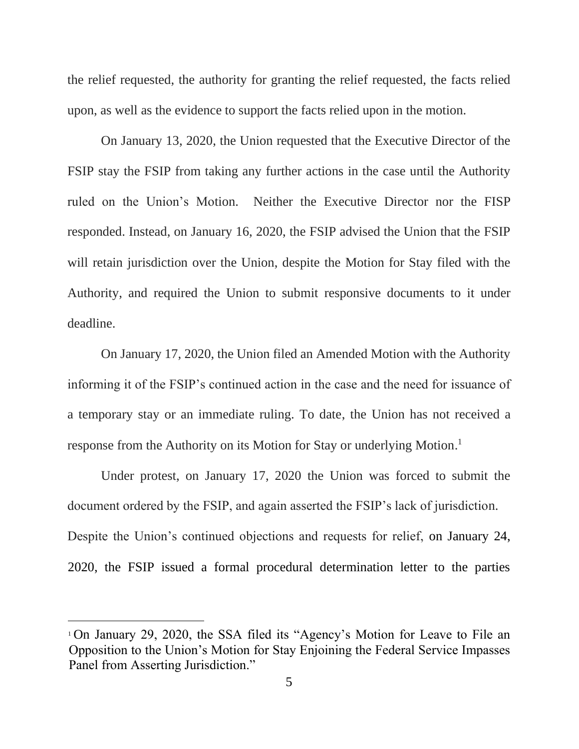the relief requested, the authority for granting the relief requested, the facts relied upon, as well as the evidence to support the facts relied upon in the motion.

On January 13, 2020, the Union requested that the Executive Director of the FSIP stay the FSIP from taking any further actions in the case until the Authority ruled on the Union's Motion. Neither the Executive Director nor the FISP responded. Instead, on January 16, 2020, the FSIP advised the Union that the FSIP will retain jurisdiction over the Union, despite the Motion for Stay filed with the Authority, and required the Union to submit responsive documents to it under deadline.

On January 17, 2020, the Union filed an Amended Motion with the Authority informing it of the FSIP's continued action in the case and the need for issuance of a temporary stay or an immediate ruling. To date, the Union has not received a response from the Authority on its Motion for Stay or underlying Motion. 1

Under protest, on January 17, 2020 the Union was forced to submit the document ordered by the FSIP, and again asserted the FSIP's lack of jurisdiction. Despite the Union's continued objections and requests for relief, on January 24, 2020, the FSIP issued a formal procedural determination letter to the parties

<sup>1</sup> On January 29, 2020, the SSA filed its "Agency's Motion for Leave to File an Opposition to the Union's Motion for Stay Enjoining the Federal Service Impasses Panel from Asserting Jurisdiction."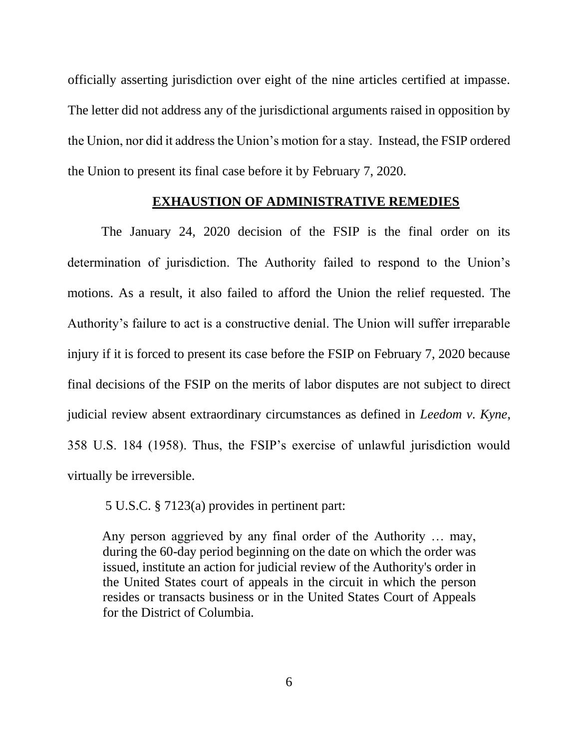officially asserting jurisdiction over eight of the nine articles certified at impasse. The letter did not address any of the jurisdictional arguments raised in opposition by the Union, nor did it address the Union's motion for a stay. Instead, the FSIP ordered the Union to present its final case before it by February 7, 2020.

## **EXHAUSTION OF ADMINISTRATIVE REMEDIES**

The January 24, 2020 decision of the FSIP is the final order on its determination of jurisdiction. The Authority failed to respond to the Union's motions. As a result, it also failed to afford the Union the relief requested. The Authority's failure to act is a constructive denial. The Union will suffer irreparable injury if it is forced to present its case before the FSIP on February 7, 2020 because final decisions of the FSIP on the merits of labor disputes are not subject to direct judicial review absent extraordinary circumstances as defined in *Leedom v. Kyne*, 358 U.S. 184 (1958). Thus, the FSIP's exercise of unlawful jurisdiction would virtually be irreversible.

5 U.S.C. § 7123(a) provides in pertinent part:

Any person aggrieved by any final order of the Authority … may, during the 60-day period beginning on the date on which the order was issued, institute an action for judicial review of the Authority's order in the United States court of appeals in the circuit in which the person resides or transacts business or in the United States Court of Appeals for the District of Columbia.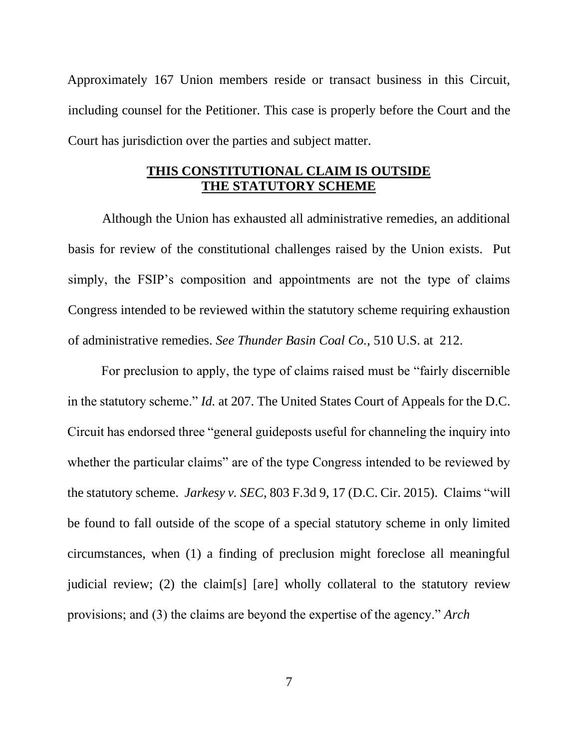Approximately 167 Union members reside or transact business in this Circuit, including counsel for the Petitioner. This case is properly before the Court and the Court has jurisdiction over the parties and subject matter.

## **THIS CONSTITUTIONAL CLAIM IS OUTSIDE THE STATUTORY SCHEME**

Although the Union has exhausted all administrative remedies, an additional basis for review of the constitutional challenges raised by the Union exists. Put simply, the FSIP's composition and appointments are not the type of claims Congress intended to be reviewed within the statutory scheme requiring exhaustion of administrative remedies. *See Thunder Basin Coal Co.*, 510 U.S. at 212.

For preclusion to apply, the type of claims raised must be "fairly discernible in the statutory scheme." *Id.* at 207. The United States Court of Appeals for the D.C. Circuit has endorsed three "general guideposts useful for channeling the inquiry into whether the particular claims" are of the type Congress intended to be reviewed by the statutory scheme. *Jarkesy v. SEC*, 803 F.3d 9, 17 (D.C. Cir. 2015). Claims "will be found to fall outside of the scope of a special statutory scheme in only limited circumstances, when (1) a finding of preclusion might foreclose all meaningful judicial review; (2) the claim[s] [are] wholly collateral to the statutory review provisions; and (3) the claims are beyond the expertise of the agency." *Arch*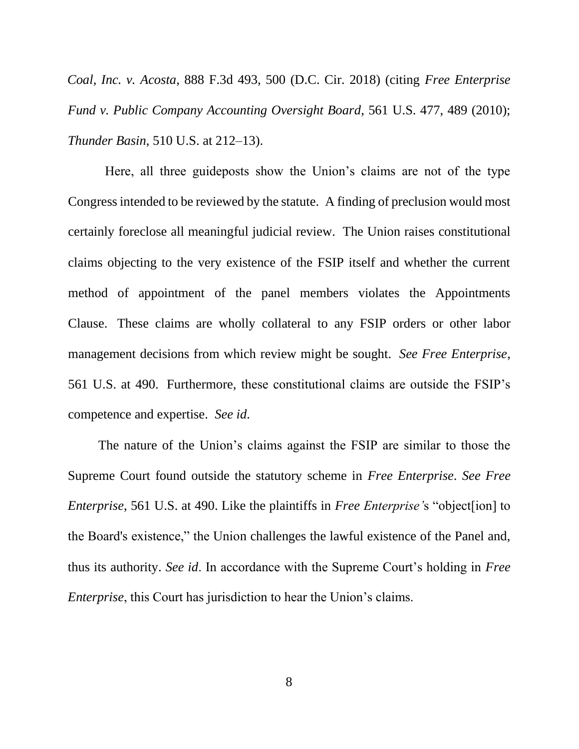*Coal, Inc. v. Acosta*, 888 F.3d 493, 500 (D.C. Cir. 2018) (citing *Free Enterprise Fund v. Public Company Accounting Oversight Board*, 561 U.S. 477, 489 (2010); *Thunder Basin*, 510 U.S. at 212–13).

Here, all three guideposts show the Union's claims are not of the type Congress intended to be reviewed by the statute. A finding of preclusion would most certainly foreclose all meaningful judicial review. The Union raises constitutional claims objecting to the very existence of the FSIP itself and whether the current method of appointment of the panel members violates the Appointments Clause. These claims are wholly collateral to any FSIP orders or other labor management decisions from which review might be sought. *See Free Enterprise*, 561 U.S. at 490. Furthermore, these constitutional claims are outside the FSIP's competence and expertise. *See id*.

 The nature of the Union's claims against the FSIP are similar to those the Supreme Court found outside the statutory scheme in *Free Enterprise*. *See Free Enterprise*, 561 U.S. at 490. Like the plaintiffs in *Free Enterprise'*s "object[ion] to the Board's existence," the Union challenges the lawful existence of the Panel and, thus its authority. *See id*. In accordance with the Supreme Court's holding in *Free Enterprise*, this Court has jurisdiction to hear the Union's claims.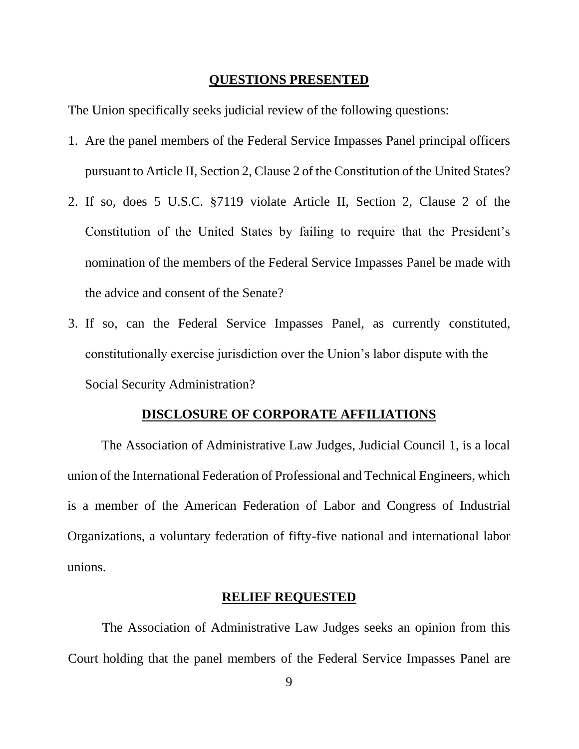#### **QUESTIONS PRESENTED**

The Union specifically seeks judicial review of the following questions:

- 1. Are the panel members of the Federal Service Impasses Panel principal officers pursuant to Article II, Section 2, Clause 2 of the Constitution of the United States?
- 2. If so, does 5 U.S.C. §7119 violate Article II, Section 2, Clause 2 of the Constitution of the United States by failing to require that the President's nomination of the members of the Federal Service Impasses Panel be made with the advice and consent of the Senate?
- 3. If so, can the Federal Service Impasses Panel, as currently constituted, constitutionally exercise jurisdiction over the Union's labor dispute with the Social Security Administration?

### **DISCLOSURE OF CORPORATE AFFILIATIONS**

The Association of Administrative Law Judges, Judicial Council 1, is a local union of the International Federation of Professional and Technical Engineers, which is a member of the American Federation of Labor and Congress of Industrial Organizations, a voluntary federation of fifty-five national and international labor unions.

#### **RELIEF REQUESTED**

The Association of Administrative Law Judges seeks an opinion from this Court holding that the panel members of the Federal Service Impasses Panel are